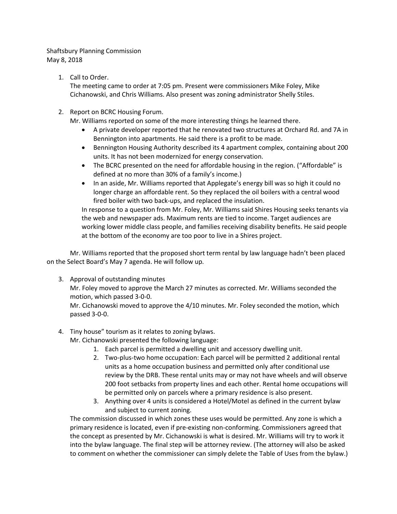## Shaftsbury Planning Commission May 8, 2018

1. Call to Order.

The meeting came to order at 7:05 pm. Present were commissioners Mike Foley, Mike Cichanowski, and Chris Williams. Also present was zoning administrator Shelly Stiles.

2. Report on BCRC Housing Forum.

Mr. Williams reported on some of the more interesting things he learned there.

- A private developer reported that he renovated two structures at Orchard Rd. and 7A in Bennington into apartments. He said there is a profit to be made.
- Bennington Housing Authority described its 4 apartment complex, containing about 200 units. It has not been modernized for energy conservation.
- The BCRC presented on the need for affordable housing in the region. ("Affordable" is defined at no more than 30% of a family's income.)
- In an aside, Mr. Williams reported that Applegate's energy bill was so high it could no longer charge an affordable rent. So they replaced the oil boilers with a central wood fired boiler with two back-ups, and replaced the insulation.

In response to a question from Mr. Foley, Mr. Williams said Shires Housing seeks tenants via the web and newspaper ads. Maximum rents are tied to income. Target audiences are working lower middle class people, and families receiving disability benefits. He said people at the bottom of the economy are too poor to live in a Shires project.

 Mr. Williams reported that the proposed short term rental by law language hadn't been placed on the Select Board's May 7 agenda. He will follow up.

3. Approval of outstanding minutes

Mr. Foley moved to approve the March 27 minutes as corrected. Mr. Williams seconded the motion, which passed 3-0-0.

Mr. Cichanowski moved to approve the 4/10 minutes. Mr. Foley seconded the motion, which passed 3-0-0.

## 4. Tiny house" tourism as it relates to zoning bylaws.

Mr. Cichanowski presented the following language:

- 1. Each parcel is permitted a dwelling unit and accessory dwelling unit.
- 2. Two-plus-two home occupation: Each parcel will be permitted 2 additional rental units as a home occupation business and permitted only after conditional use review by the DRB. These rental units may or may not have wheels and will observe 200 foot setbacks from property lines and each other. Rental home occupations will be permitted only on parcels where a primary residence is also present.
- 3. Anything over 4 units is considered a Hotel/Motel as defined in the current bylaw and subject to current zoning.

The commission discussed in which zones these uses would be permitted. Any zone is which a primary residence is located, even if pre-existing non-conforming. Commissioners agreed that the concept as presented by Mr. Cichanowski is what is desired. Mr. Williams will try to work it into the bylaw language. The final step will be attorney review. (The attorney will also be asked to comment on whether the commissioner can simply delete the Table of Uses from the bylaw.)